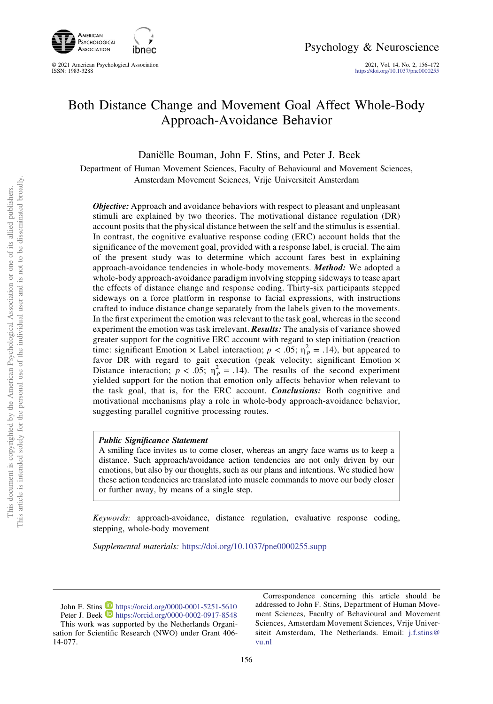

© 2021 American Psychological Association<br>ISSN: 1983-3288

2021, Vol. 14, No. 2, 156-172<br><https://doi.org/10.1037/pne0000255>

# Both Distance Change and Movement Goal Affect Whole-Body Approach-Avoidance Behavior

Daniëlle Bouman, John F. Stins, and Peter J. Beek

Department of Human Movement Sciences, Faculty of Behavioural and Movement Sciences, Amsterdam Movement Sciences, Vrije Universiteit Amsterdam

*Objective:* Approach and avoidance behaviors with respect to pleasant and unpleasant stimuli are explained by two theories. The motivational distance regulation (DR) account posits that the physical distance between the self and the stimulus is essential. In contrast, the cognitive evaluative response coding (ERC) account holds that the significance of the movement goal, provided with a response label, is crucial. The aim of the present study was to determine which account fares best in explaining approach-avoidance tendencies in whole-body movements. Method: We adopted a whole-body approach-avoidance paradigm involving stepping sideways to tease apart the effects of distance change and response coding. Thirty-six participants stepped sideways on a force platform in response to facial expressions, with instructions crafted to induce distance change separately from the labels given to the movements. In the first experiment the emotion was relevant to the task goal, whereas in the second experiment the emotion was task irrelevant. Results: The analysis of variance showed greater support for the cognitive ERC account with regard to step initiation (reaction time: significant Emotion × Label interaction;  $p < .05$ ;  $\eta_p^2 = .14$ ), but appeared to favor DR with regard to gait execution (peak velocity; significant Emotion  $\times$ Distance interaction;  $p < .05$ ;  $\eta_p^2 = .14$ ). The results of the second experiment yielded support for the notion that emotion only affects behavior when relevant to the task goal, that is, for the ERC account. Conclusions: Both cognitive and motivational mechanisms play a role in whole-body approach-avoidance behavior, suggesting parallel cognitive processing routes.

### Public Significance Statement

A smiling face invites us to come closer, whereas an angry face warns us to keep a distance. Such approach/avoidance action tendencies are not only driven by our emotions, but also by our thoughts, such as our plans and intentions. We studied how these action tendencies are translated into muscle commands to move our body closer or further away, by means of a single step.

Keywords: approach-avoidance, distance regulation, evaluative response coding, stepping, whole-body movement

Supplemental materials: <https://doi.org/10.1037/pne0000255.supp>

John F. Stins D <https://orcid.org/0000-0001-5251-5610> Peter J. Beek **<https://orcid.org/0000-0002-0917-8548>** This work was supported by the Netherlands Organisation for Scientific Research (NWO) under Grant 406- 14-077.

Correspondence concerning this article should be addressed to John F. Stins, Department of Human Movement Sciences, Faculty of Behavioural and Movement Sciences, Amsterdam Movement Sciences, Vrije Universiteit Amsterdam, The Netherlands. Email: [j.f.stins@](mailto:j.f.stins@vu.nl) [vu.nl](mailto:j.f.stins@vu.nl)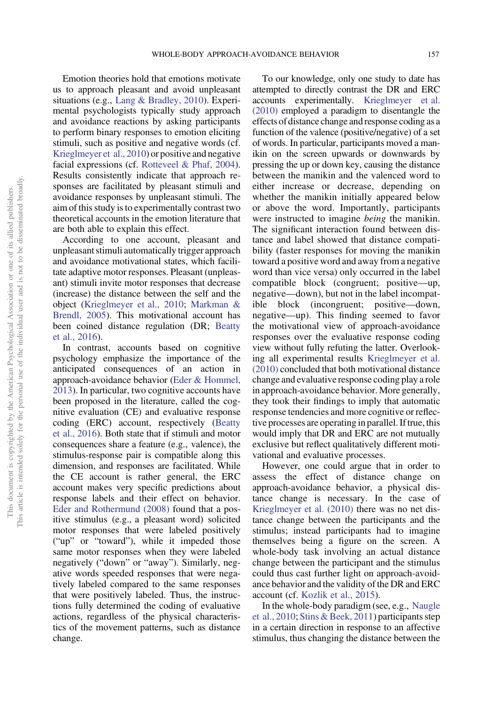Emotion theories hold that emotions motivate us to approach pleasant and avoid unpleasant situations (e.g., [Lang & Bradley, 2010](#page-15-0)). Experimental psychologists typically study approach and avoidance reactions by asking participants to perform binary responses to emotion eliciting stimuli, such as positive and negative words (cf. [Krieglmeyer et al., 2010](#page-15-0)) or positive and negative facial expressions (cf. [Rotteveel & Phaf, 2004](#page-15-0)). Results consistently indicate that approach responses are facilitated by pleasant stimuli and avoidance responses by unpleasant stimuli. The aim of this study is to experimentally contrast two theoretical accounts in the emotion literature that are both able to explain this effect.

According to one account, pleasant and unpleasant stimuli automatically trigger approach and avoidance motivational states, which facilitate adaptive motor responses. Pleasant (unpleasant) stimuli invite motor responses that decrease (increase) the distance between the self and the object [\(Krieglmeyer et al., 2010;](#page-15-0) [Markman &](#page-15-0) [Brendl, 2005\)](#page-15-0). This motivational account has been coined distance regulation (DR; [Beatty](#page-14-0) [et al., 2016](#page-14-0)).

In contrast, accounts based on cognitive psychology emphasize the importance of the anticipated consequences of an action in approach-avoidance behavior [\(Eder & Hommel,](#page-15-0) [2013](#page-15-0)). In particular, two cognitive accounts have been proposed in the literature, called the cognitive evaluation (CE) and evaluative response coding (ERC) account, respectively [\(Beatty](#page-14-0) [et al., 2016](#page-14-0)). Both state that if stimuli and motor consequences share a feature (e.g., valence), the stimulus-response pair is compatible along this dimension, and responses are facilitated. While the CE account is rather general, the ERC account makes very specific predictions about response labels and their effect on behavior. [Eder and Rothermund \(2008\)](#page-15-0) found that a positive stimulus (e.g., a pleasant word) solicited motor responses that were labeled positively ("up" or "toward"), while it impeded those same motor responses when they were labeled negatively ("down" or "away"). Similarly, negative words speeded responses that were negatively labeled compared to the same responses that were positively labeled. Thus, the instructions fully determined the coding of evaluative actions, regardless of the physical characteristics of the movement patterns, such as distance change.

To our knowledge, only one study to date has attempted to directly contrast the DR and ERC accounts experimentally. [Krieglmeyer et al.](#page-15-0) [\(2010\)](#page-15-0) employed a paradigm to disentangle the effects of distance change and response coding as a function of the valence (positive/negative) of a set of words. In particular, participants moved a manikin on the screen upwards or downwards by pressing the up or down key, causing the distance between the manikin and the valenced word to either increase or decrease, depending on whether the manikin initially appeared below or above the word. Importantly, participants were instructed to imagine *being* the manikin. The significant interaction found between distance and label showed that distance compatibility (faster responses for moving the manikin toward a positive word and away from a negative word than vice versa) only occurred in the label compatible block (congruent; positive—up, negative—down), but not in the label incompatible block (incongruent; positive—down, negative—up). This finding seemed to favor the motivational view of approach-avoidance responses over the evaluative response coding view without fully refuting the latter. Overlooking all experimental results [Krieglmeyer et al.](#page-15-0) [\(2010\)](#page-15-0) concluded that both motivational distance change and evaluative response coding play a role in approach-avoidance behavior. More generally, they took their findings to imply that automatic response tendencies and more cognitive or reflective processes are operating in parallel. If true, this would imply that DR and ERC are not mutually exclusive but reflect qualitatively different motivational and evaluative processes.

However, one could argue that in order to assess the effect of distance change on approach-avoidance behavior, a physical distance change is necessary. In the case of [Krieglmeyer et al. \(2010\)](#page-15-0) there was no net distance change between the participants and the stimulus; instead participants had to imagine themselves being a figure on the screen. A whole-body task involving an actual distance change between the participant and the stimulus could thus cast further light on approach-avoidance behavior and the validity of the DR and ERC account (cf. [Kozlik et al., 2015](#page-15-0)).

In the whole-body paradigm (see, e.g., [Naugle](#page-15-0) [et al., 2010](#page-15-0); [Stins & Beek, 2011\)](#page-15-0) participants step in a certain direction in response to an affective stimulus, thus changing the distance between the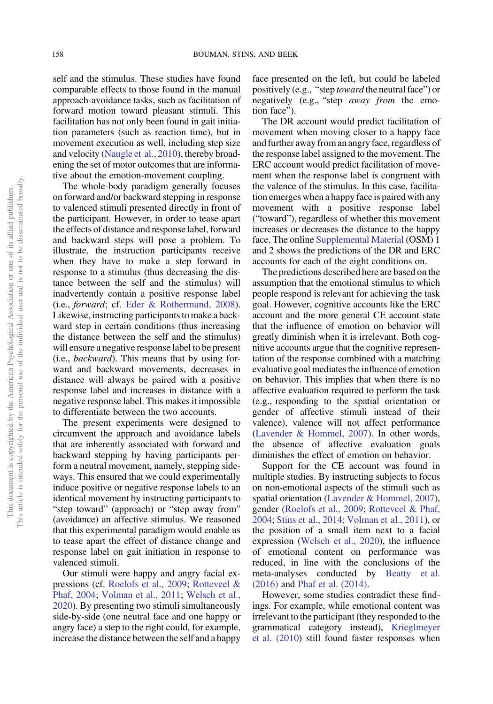self and the stimulus. These studies have found comparable effects to those found in the manual approach-avoidance tasks, such as facilitation of forward motion toward pleasant stimuli. This facilitation has not only been found in gait initiation parameters (such as reaction time), but in movement execution as well, including step size and velocity ([Naugle et al., 2010](#page-15-0)), thereby broadening the set of motor outcomes that are informative about the emotion-movement coupling.

The whole-body paradigm generally focuses on forward and/or backward stepping in response to valenced stimuli presented directly in front of the participant. However, in order to tease apart the effects of distance and response label, forward and backward steps will pose a problem. To illustrate, the instruction participants receive when they have to make a step forward in response to a stimulus (thus decreasing the distance between the self and the stimulus) will inadvertently contain a positive response label (i.e., forward; cf. [Eder & Rothermund, 2008](#page-15-0)). Likewise, instructing participants to make a backward step in certain conditions (thus increasing the distance between the self and the stimulus) will ensure a negative response label to be present (i.e., backward). This means that by using forward and backward movements, decreases in distance will always be paired with a positive response label and increases in distance with a negative response label. This makes it impossible to differentiate between the two accounts.

The present experiments were designed to circumvent the approach and avoidance labels that are inherently associated with forward and backward stepping by having participants perform a neutral movement, namely, stepping sideways. This ensured that we could experimentally induce positive or negative response labels to an identical movement by instructing participants to "step toward" (approach) or "step away from" (avoidance) an affective stimulus. We reasoned that this experimental paradigm would enable us to tease apart the effect of distance change and response label on gait initiation in response to valenced stimuli.

Our stimuli were happy and angry facial expressions (cf. [Roelofs et al., 2009;](#page-15-0) [Rotteveel &](#page-15-0) [Phaf, 2004;](#page-15-0) [Volman et al., 2011;](#page-16-0) [Welsch et al.,](#page-16-0) [2020](#page-16-0)). By presenting two stimuli simultaneously side-by-side (one neutral face and one happy or angry face) a step to the right could, for example, increase the distance between the self and a happy face presented on the left, but could be labeled positively (e.g., "step toward the neutral face") or negatively (e.g., "step *away from* the emotion face").

The DR account would predict facilitation of movement when moving closer to a happy face and further away from an angry face, regardless of the response label assigned to the movement. The ERC account would predict facilitation of movement when the response label is congruent with the valence of the stimulus. In this case, facilitation emerges when a happy face is paired with any movement with a positive response label ("toward"), regardless of whether this movement increases or decreases the distance to the happy face. The online [Supplemental Material](http://dx.doi.org/10.1037/pne0000255.supp) (OSM) 1 and 2 shows the predictions of the DR and ERC accounts for each of the eight conditions on.

The predictions described here are based on the assumption that the emotional stimulus to which people respond is relevant for achieving the task goal. However, cognitive accounts like the ERC account and the more general CE account state that the influence of emotion on behavior will greatly diminish when it is irrelevant. Both cognitive accounts argue that the cognitive representation of the response combined with a matching evaluative goal mediates the influence of emotion on behavior. This implies that when there is no affective evaluation required to perform the task (e.g., responding to the spatial orientation or gender of affective stimuli instead of their valence), valence will not affect performance [\(Lavender & Hommel, 2007](#page-15-0)). In other words, the absence of affective evaluation goals diminishes the effect of emotion on behavior.

Support for the CE account was found in multiple studies. By instructing subjects to focus on non-emotional aspects of the stimuli such as spatial orientation ([Lavender & Hommel, 2007](#page-15-0)), gender [\(Roelofs et al., 2009](#page-15-0); [Rotteveel & Phaf,](#page-15-0) [2004](#page-15-0); [Stins et al., 2014;](#page-16-0) [Volman et al., 2011\)](#page-16-0), or the position of a small item next to a facial expression ([Welsch et al., 2020\)](#page-16-0), the influence of emotional content on performance was reduced, in line with the conclusions of the meta-analyses conducted by [Beatty et al.](#page-14-0) [\(2016\)](#page-14-0) and [Phaf et al. \(2014\)](#page-15-0).

However, some studies contradict these findings. For example, while emotional content was irrelevant to the participant (they responded to the grammatical category instead), [Krieglmeyer](#page-15-0) [et al. \(2010\)](#page-15-0) still found faster responses when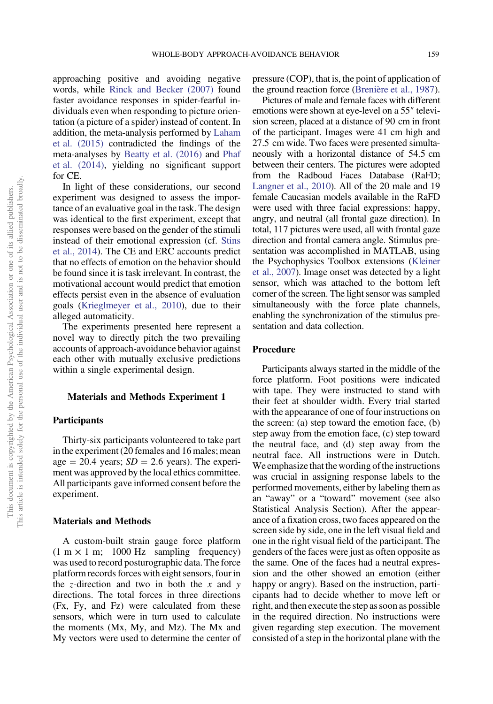approaching positive and avoiding negative words, while [Rinck and Becker \(2007\)](#page-15-0) found faster avoidance responses in spider-fearful individuals even when responding to picture orientation (a picture of a spider) instead of content. In addition, the meta-analysis performed by [Laham](#page-15-0) [et al. \(2015\)](#page-15-0) contradicted the findings of the meta-analyses by [Beatty et al. \(2016\)](#page-14-0) and [Phaf](#page-15-0) [et al. \(2014\)](#page-15-0), yielding no significant support for CE.

In light of these considerations, our second experiment was designed to assess the importance of an evaluative goal in the task. The design was identical to the first experiment, except that responses were based on the gender of the stimuli instead of their emotional expression (cf. [Stins](#page-16-0) [et al., 2014](#page-16-0)). The CE and ERC accounts predict that no effects of emotion on the behavior should be found since it is task irrelevant. In contrast, the motivational account would predict that emotion effects persist even in the absence of evaluation goals [\(Krieglmeyer et al., 2010](#page-15-0)), due to their alleged automaticity.

The experiments presented here represent a novel way to directly pitch the two prevailing accounts of approach-avoidance behavior against each other with mutually exclusive predictions within a single experimental design.

# Materials and Methods Experiment 1

# Participants

Thirty-six participants volunteered to take part in the experiment (20 females and 16 males; mean age = 20.4 years;  $SD = 2.6$  years). The experiment was approved by the local ethics committee. All participants gave informed consent before the experiment.

# Materials and Methods

A custom-built strain gauge force platform  $(1 \text{ m} \times 1 \text{ m}; 1000 \text{ Hz}$  sampling frequency) was used to record posturographic data. The force platform records forces with eight sensors, four in the z-direction and two in both the x and y directions. The total forces in three directions (Fx, Fy, and Fz) were calculated from these sensors, which were in turn used to calculate the moments (Mx, My, and Mz). The Mx and My vectors were used to determine the center of pressure (COP), that is, the point of application of the ground reaction force ([Brenière et al., 1987](#page-15-0)).

Pictures of male and female faces with different emotions were shown at eye-level on a 55″ television screen, placed at a distance of 90 cm in front of the participant. Images were 41 cm high and 27.5 cm wide. Two faces were presented simultaneously with a horizontal distance of 54.5 cm between their centers. The pictures were adopted from the Radboud Faces Database (RaFD; [Langner et al., 2010](#page-15-0)). All of the 20 male and 19 female Caucasian models available in the RaFD were used with three facial expressions: happy, angry, and neutral (all frontal gaze direction). In total, 117 pictures were used, all with frontal gaze direction and frontal camera angle. Stimulus presentation was accomplished in MATLAB, using the Psychophysics Toolbox extensions [\(Kleiner](#page-15-0) [et al., 2007](#page-15-0)). Image onset was detected by a light sensor, which was attached to the bottom left corner of the screen. The light sensor was sampled simultaneously with the force plate channels, enabling the synchronization of the stimulus presentation and data collection.

### Procedure

Participants always started in the middle of the force platform. Foot positions were indicated with tape. They were instructed to stand with their feet at shoulder width. Every trial started with the appearance of one of four instructions on the screen: (a) step toward the emotion face, (b) step away from the emotion face, (c) step toward the neutral face, and (d) step away from the neutral face. All instructions were in Dutch. We emphasize that the wording of the instructions was crucial in assigning response labels to the performed movements, either by labeling them as an "away" or a "toward" movement (see also Statistical Analysis Section). After the appearance of a fixation cross, two faces appeared on the screen side by side, one in the left visual field and one in the right visual field of the participant. The genders of the faces were just as often opposite as the same. One of the faces had a neutral expression and the other showed an emotion (either happy or angry). Based on the instruction, participants had to decide whether to move left or right, and then execute the step as soon as possible in the required direction. No instructions were given regarding step execution. The movement consisted of a step in the horizontal plane with the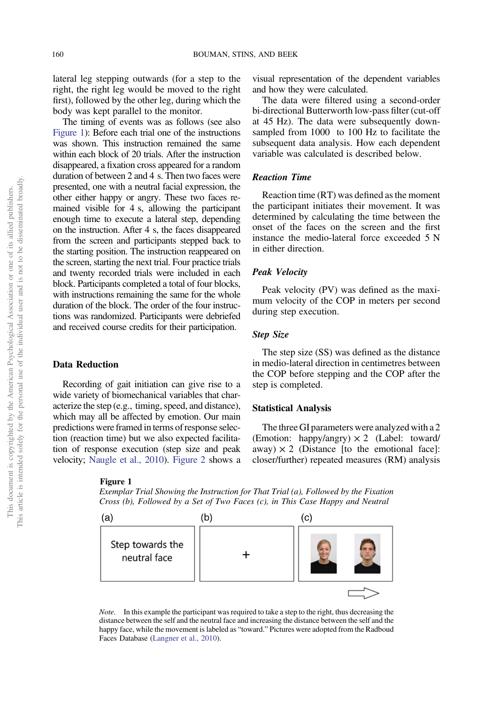lateral leg stepping outwards (for a step to the right, the right leg would be moved to the right first), followed by the other leg, during which the body was kept parallel to the monitor.

The timing of events was as follows (see also Figure 1): Before each trial one of the instructions was shown. This instruction remained the same within each block of 20 trials. After the instruction disappeared, a fixation cross appeared for a random duration of between 2 and 4 s. Then two faces were presented, one with a neutral facial expression, the other either happy or angry. These two faces remained visible for 4 s, allowing the participant enough time to execute a lateral step, depending on the instruction. After 4 s, the faces disappeared from the screen and participants stepped back to the starting position. The instruction reappeared on the screen, starting the next trial. Four practice trials and twenty recorded trials were included in each block. Participants completed a total of four blocks, with instructions remaining the same for the whole duration of the block. The order of the four instructions was randomized. Participants were debriefed and received course credits for their participation.

# Data Reduction

Recording of gait initiation can give rise to a wide variety of biomechanical variables that characterize the step (e.g., timing, speed, and distance), which may all be affected by emotion. Our main predictions were framed in terms of response selection (reaction time) but we also expected facilitation of response execution (step size and peak velocity; [Naugle et al., 2010](#page-15-0)). [Figure 2](#page-5-0) shows a

#### Figure 1

Exemplar Trial Showing the Instruction for That Trial (a), Followed by the Fixation Cross (b), Followed by a Set of Two Faces (c), in This Case Happy and Neutral



Note. In this example the participant was required to take a step to the right, thus decreasing the distance between the self and the neutral face and increasing the distance between the self and the happy face, while the movement is labeled as "toward." Pictures were adopted from the Radboud Faces Database [\(Langner et al., 2010\)](#page-15-0).

visual representation of the dependent variables and how they were calculated.

The data were filtered using a second-order bi-directional Butterworth low-pass filter (cut-off at 45 Hz). The data were subsequently downsampled from 1000 to 100 Hz to facilitate the subsequent data analysis. How each dependent variable was calculated is described below.

# Reaction Time

Reaction time (RT) was defined as the moment the participant initiates their movement. It was determined by calculating the time between the onset of the faces on the screen and the first instance the medio-lateral force exceeded 5 N in either direction.

### Peak Velocity

Peak velocity (PV) was defined as the maximum velocity of the COP in meters per second during step execution.

### Step Size

The step size (SS) was defined as the distance in medio-lateral direction in centimetres between the COP before stepping and the COP after the step is completed.

### Statistical Analysis

The three GI parameters were analyzed with a 2 (Emotion: happy/angry)  $\times$  2 (Label: toward/ away)  $\times$  2 (Distance [to the emotional face]: closer/further) repeated measures (RM) analysis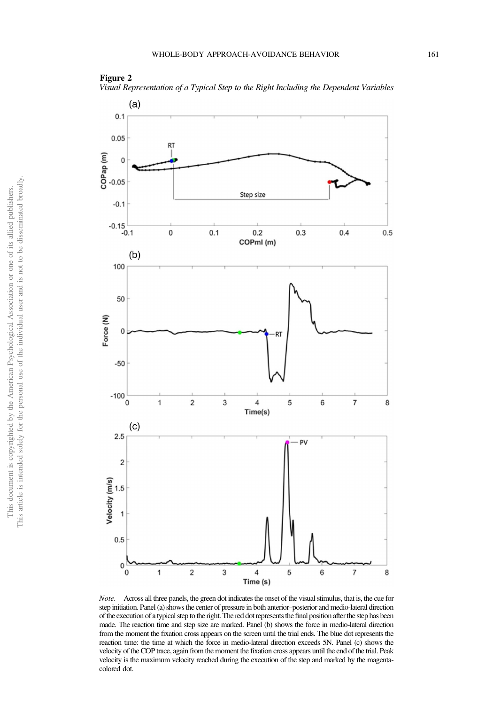# <span id="page-5-0"></span>Figure 2

Visual Representation of a Typical Step to the Right Including the Dependent Variables



Note. Across all three panels, the green dot indicates the onset of the visual stimulus, that is, the cue for step initiation. Panel (a) shows the center of pressure in both anterior–posterior and medio-lateral direction of the execution of a typical step to the right. The red dot represents thefinal position after the step has been made. The reaction time and step size are marked. Panel (b) shows the force in medio-lateral direction from the moment the fixation cross appears on the screen until the trial ends. The blue dot represents the reaction time: the time at which the force in medio-lateral direction exceeds 5N. Panel (c) shows the velocity of the COP trace, again from the moment the fixation cross appears until the end of the trial. Peak velocity is the maximum velocity reached during the execution of the step and marked by the magentacolored dot.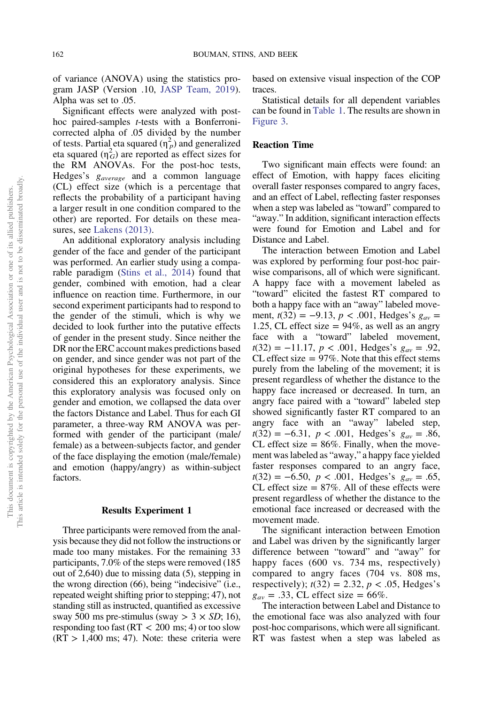of variance (ANOVA) using the statistics program JASP (Version .10, [JASP Team, 2019](#page-15-0)). Alpha was set to .05.

Significant effects were analyzed with posthoc paired-samples t-tests with a Bonferronicorrected alpha of .05 divided by the number of tests. Partial eta squared  $(\eta_p^2)$  and generalized eta squared  $(\eta_G^2)$  are reported as effect sizes for the RM ANOVAs. For the post-hoc tests, Hedges's  $g_{average}$  and a common language (CL) effect size (which is a percentage that reflects the probability of a participant having a larger result in one condition compared to the other) are reported. For details on these measures, see [Lakens \(2013\).](#page-15-0)

An additional exploratory analysis including gender of the face and gender of the participant was performed. An earlier study using a comparable paradigm ([Stins et al., 2014](#page-16-0)) found that gender, combined with emotion, had a clear influence on reaction time. Furthermore, in our second experiment participants had to respond to the gender of the stimuli, which is why we decided to look further into the putative effects of gender in the present study. Since neither the DR nor the ERC account makes predictions based on gender, and since gender was not part of the original hypotheses for these experiments, we considered this an exploratory analysis. Since this exploratory analysis was focused only on gender and emotion, we collapsed the data over the factors Distance and Label. Thus for each GI parameter, a three-way RM ANOVA was performed with gender of the participant (male/ female) as a between-subjects factor, and gender of the face displaying the emotion (male/female) and emotion (happy/angry) as within-subject factors.

# Results Experiment 1

Three participants were removed from the analysis because they did not follow the instructions or made too many mistakes. For the remaining 33 participants, 7.0% of the steps were removed (185 out of 2,640) due to missing data (5), stepping in the wrong direction (66), being "indecisive" (i.e., repeated weight shifting prior to stepping; 47), not standing still as instructed, quantified as excessive sway 500 ms pre-stimulus (sway  $>$  3  $\times$  SD; 16), responding too fast ( $RT$  < 200 ms; 4) or too slow  $(RT > 1,400$  ms; 47). Note: these criteria were based on extensive visual inspection of the COP traces.

Statistical details for all dependent variables can be found in [Table 1.](#page-7-0) The results are shown in [Figure 3](#page-8-0).

# Reaction Time

Two significant main effects were found: an effect of Emotion, with happy faces eliciting overall faster responses compared to angry faces, and an effect of Label, reflecting faster responses when a step was labeled as "toward" compared to "away." In addition, significant interaction effects were found for Emotion and Label and for Distance and Label.

The interaction between Emotion and Label was explored by performing four post-hoc pairwise comparisons, all of which were significant. A happy face with a movement labeled as "toward" elicited the fastest RT compared to both a happy face with an "away" labeled movement,  $t(32) = -9.13$ ,  $p < .001$ , Hedges's  $g_{av} =$ 1.25, CL effect size  $= 94\%$ , as well as an angry face with a "toward" labeled movement,  $t(32) = -11.17$ ,  $p < .001$ , Hedges's  $g_{av} = .92$ , CL effect size  $= 97\%$ . Note that this effect stems purely from the labeling of the movement; it is present regardless of whether the distance to the happy face increased or decreased. In turn, an angry face paired with a "toward" labeled step showed significantly faster RT compared to an angry face with an "away" labeled step,  $t(32) = -6.31$ ,  $p < .001$ , Hedges's  $g_{av} = .86$ , CL effect size  $= 86\%$ . Finally, when the movement was labeled as "away," a happy face yielded faster responses compared to an angry face,  $t(32) = -6.50, p < .001, \text{ Hedges's } g_{av} = .65,$ CL effect size  $= 87\%$ . All of these effects were present regardless of whether the distance to the emotional face increased or decreased with the movement made.

The significant interaction between Emotion and Label was driven by the significantly larger difference between "toward" and "away" for happy faces (600 vs. 734 ms, respectively) compared to angry faces (704 vs. 808 ms, respectively);  $t(32) = 2.32, p < .05$ , Hedges's  $g_{av} = .33$ , CL effect size = 66%.

The interaction between Label and Distance to the emotional face was also analyzed with four post-hoc comparisons, which were all significant. RT was fastest when a step was labeled as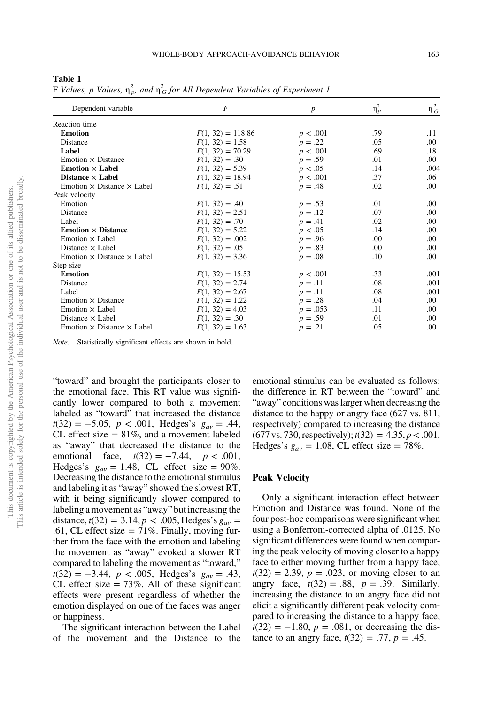<span id="page-7-0"></span>Table 1

| F Values, p Values, $\eta_p^2$ , and $\eta_G^2$ for All Dependent Variables of Experiment 1 |  |  |  |  |
|---------------------------------------------------------------------------------------------|--|--|--|--|
|---------------------------------------------------------------------------------------------|--|--|--|--|

| Dependent variable                          | $\overline{F}$      | $\boldsymbol{p}$ | $\eta_p^2$ | $\eta_G^2$ |
|---------------------------------------------|---------------------|------------------|------------|------------|
| Reaction time                               |                     |                  |            |            |
| <b>Emotion</b>                              | $F(1, 32) = 118.86$ | p < .001         | .79        | .11        |
| Distance                                    | $F(1, 32) = 1.58$   | $p=.22$          | .05        | .00.       |
| Label                                       | $F(1, 32) = 70.29$  | p < .001         | .69        | .18        |
| Emotion $\times$ Distance                   | $F(1, 32) = .30$    | $p = .59$        | .01        | .00.       |
| Emotion $\times$ Label                      | $F(1, 32) = 5.39$   | p < .05          | .14        | .004       |
| Distance $\times$ Label                     | $F(1, 32) = 18.94$  | p < .001         | .37        | .06        |
| Emotion $\times$ Distance $\times$ Label    | $F(1, 32) = .51$    | $p = .48$        | .02        | .00.       |
| Peak velocity                               |                     |                  |            |            |
| Emotion                                     | $F(1, 32) = .40$    | $p = .53$        | .01        | .00.       |
| Distance                                    | $F(1, 32) = 2.51$   | $p=.12$          | .07        | .00.       |
| Label                                       | $F(1, 32) = .70$    | $p = .41$        | .02        | .00.       |
| <b>Emotion <math>\times</math> Distance</b> | $F(1, 32) = 5.22$   | p < .05          | .14        | .00.       |
| Emotion $\times$ Label                      | $F(1, 32) = .002$   | $p = .96$        | .00        | .00.       |
| Distance $\times$ Label                     | $F(1, 32) = .05$    | $p=.83$          | .00        | .00.       |
| Emotion $\times$ Distance $\times$ Label    | $F(1, 32) = 3.36$   | $p = .08$        | .10        | .00.       |
| Step size                                   |                     |                  |            |            |
| <b>Emotion</b>                              | $F(1, 32) = 15.53$  | p < .001         | .33        | .001       |
| Distance                                    | $F(1, 32) = 2.74$   | $p=.11$          | .08        | .001       |
| Label                                       | $F(1, 32) = 2.67$   | $p=.11$          | .08        | .001       |
| Emotion $\times$ Distance                   | $F(1, 32) = 1.22$   | $p=.28$          | .04        | $.00\,$    |
| Emotion $\times$ Label                      | $F(1, 32) = 4.03$   | $p = .053$       | .11        | .00.       |
| Distance $\times$ Label                     | $F(1, 32) = .30$    | $p = .59$        | .01        | .00.       |
| Emotion $\times$ Distance $\times$ Label    | $F(1, 32) = 1.63$   | $p=.21$          | .05        | .00        |
|                                             |                     |                  |            |            |

Note. Statistically significant effects are shown in bold.

"toward" and brought the participants closer to the emotional face. This RT value was significantly lower compared to both a movement labeled as "toward" that increased the distance  $t(32) = -5.05$ ,  $p < .001$ , Hedges's  $g_{av} = .44$ , CL effect size  $= 81\%$ , and a movement labeled as "away" that decreased the distance to the emotional face,  $t(32) = -7.44$ ,  $p < .001$ , Hedges's  $g_{av} = 1.48$ , CL effect size = 90%. Decreasing the distance to the emotional stimulus and labeling it as "away" showed the slowest RT, with it being significantly slower compared to labeling a movement as "away" but increasing the distance,  $t(32) = 3.14, p < .005$ , Hedges's  $g_{av} =$ .61, CL effect size  $= 71\%$ . Finally, moving further from the face with the emotion and labeling the movement as "away" evoked a slower RT compared to labeling the movement as "toward,"  $t(32) = -3.44$ ,  $p < .005$ , Hedges's  $g_{av} = .43$ , CL effect size  $= 73\%$ . All of these significant effects were present regardless of whether the emotion displayed on one of the faces was anger or happiness.

The significant interaction between the Label of the movement and the Distance to the emotional stimulus can be evaluated as follows: the difference in RT between the "toward" and "away" conditions was larger when decreasing the distance to the happy or angry face (627 vs. 811, respectively) compared to increasing the distance  $(677 \text{ vs. } 730, \text{ respectively}); t(32) = 4.35, p < .001,$ Hedges's  $g_{av} = 1.08$ , CL effect size = 78%.

### Peak Velocity

Only a significant interaction effect between Emotion and Distance was found. None of the four post-hoc comparisons were significant when using a Bonferroni-corrected alpha of .0125. No significant differences were found when comparing the peak velocity of moving closer to a happy face to either moving further from a happy face,  $t(32) = 2.39, p = .023$ , or moving closer to an angry face,  $t(32) = .88$ ,  $p = .39$ . Similarly, increasing the distance to an angry face did not elicit a significantly different peak velocity compared to increasing the distance to a happy face,  $t(32) = -1.80$ ,  $p = .081$ , or decreasing the distance to an angry face,  $t(32) = .77$ ,  $p = .45$ .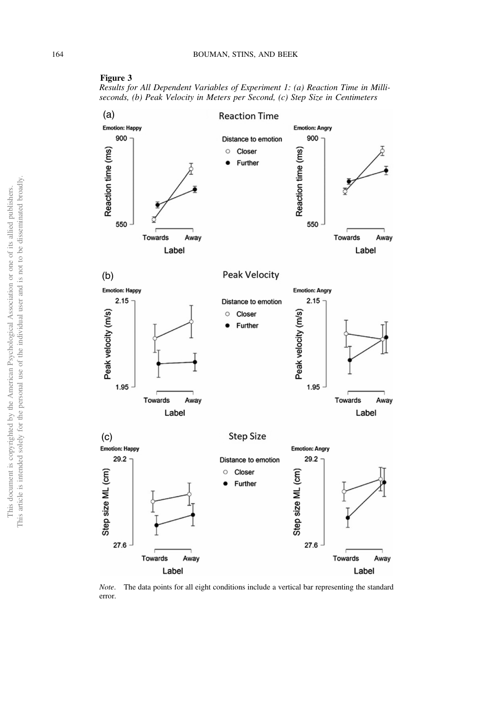

<span id="page-8-0"></span>



Note. The data points for all eight conditions include a vertical bar representing the standard error.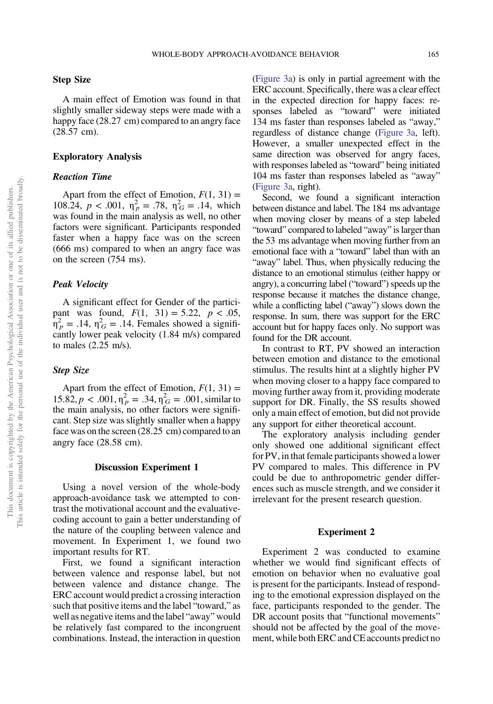### Step Size

A main effect of Emotion was found in that slightly smaller sideway steps were made with a happy face (28.27 cm) compared to an angry face (28.57 cm).

# Exploratory Analysis

# Reaction Time

Apart from the effect of Emotion,  $F(1, 31) =$ 108.24,  $p < .001$ ,  $\eta_p^2 = .78$ ,  $\eta_G^2 = .14$ , which was found in the main analysis as well, no other factors were significant. Participants responded faster when a happy face was on the screen (666 ms) compared to when an angry face was on the screen (754 ms).

### Peak Velocity

A significant effect for Gender of the participant was found,  $F(1, 31) = 5.22, p < .05$ ,  $n_P^2$  = .14,  $n_G^2$  = .14. Females showed a significantly lower peak velocity (1.84 m/s) compared to males (2.25 m/s).

### Step Size

Apart from the effect of Emotion,  $F(1, 31) =$  $15.82, p < .001, \eta_p^2 = .34, \eta_G^2 = .001$ , similar to the main analysis, no other factors were significant. Step size was slightly smaller when a happy face was on the screen (28.25 cm) compared to an angry face (28.58 cm).

### Discussion Experiment 1

Using a novel version of the whole-body approach-avoidance task we attempted to contrast the motivational account and the evaluativecoding account to gain a better understanding of the nature of the coupling between valence and movement. In Experiment 1, we found two important results for RT.

First, we found a significant interaction between valence and response label, but not between valence and distance change. The ERC account would predict a crossing interaction such that positive items and the label "toward," as well as negative items and the label "away" would be relatively fast compared to the incongruent combinations. Instead, the interaction in question [\(Figure 3a\)](#page-8-0) is only in partial agreement with the ERC account. Specifically, there was a clear effect in the expected direction for happy faces: responses labeled as "toward" were initiated 134 ms faster than responses labeled as "away," regardless of distance change ([Figure 3a,](#page-8-0) left). However, a smaller unexpected effect in the same direction was observed for angry faces, with responses labeled as "toward" being initiated 104 ms faster than responses labeled as "away" [\(Figure 3a,](#page-8-0) right).

Second, we found a significant interaction between distance and label. The 184 ms advantage when moving closer by means of a step labeled "toward" compared to labeled "away" is larger than the 53 ms advantage when moving further from an emotional face with a "toward" label than with an "away" label. Thus, when physically reducing the distance to an emotional stimulus (either happy or angry), a concurring label ("toward") speeds up the response because it matches the distance change, while a conflicting label ("away") slows down the response. In sum, there was support for the ERC account but for happy faces only. No support was found for the DR account.

In contrast to RT, PV showed an interaction between emotion and distance to the emotional stimulus. The results hint at a slightly higher PV when moving closer to a happy face compared to moving further away from it, providing moderate support for DR. Finally, the SS results showed only a main effect of emotion, but did not provide any support for either theoretical account.

The exploratory analysis including gender only showed one additional significant effect for PV, in that female participants showed a lower PV compared to males. This difference in PV could be due to anthropometric gender differences such as muscle strength, and we consider it irrelevant for the present research question.

# Experiment 2

Experiment 2 was conducted to examine whether we would find significant effects of emotion on behavior when no evaluative goal is present for the participants. Instead of responding to the emotional expression displayed on the face, participants responded to the gender. The DR account posits that "functional movements" should not be affected by the goal of the movement, while both ERC and CE accounts predict no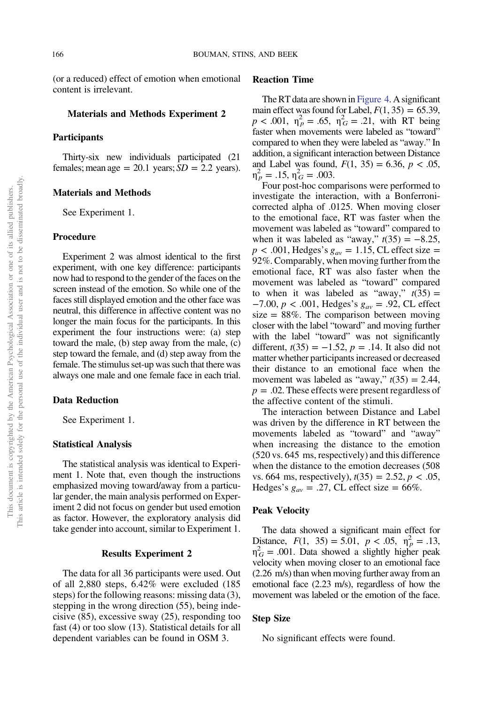(or a reduced) effect of emotion when emotional content is irrelevant.

#### Materials and Methods Experiment 2

### Participants

Thirty-six new individuals participated (21 females; mean age =  $20.1$  years;  $SD = 2.2$  years).

# Materials and Methods

See Experiment 1.

#### Procedure

Experiment 2 was almost identical to the first experiment, with one key difference: participants now had to respond to the gender of the faces on the screen instead of the emotion. So while one of the faces still displayed emotion and the other face was neutral, this difference in affective content was no longer the main focus for the participants. In this experiment the four instructions were: (a) step toward the male, (b) step away from the male, (c) step toward the female, and (d) step away from the female. The stimulus set-up was such that there was always one male and one female face in each trial.

### Data Reduction

See Experiment 1.

### Statistical Analysis

The statistical analysis was identical to Experiment 1. Note that, even though the instructions emphasized moving toward/away from a particular gender, the main analysis performed on Experiment 2 did not focus on gender but used emotion as factor. However, the exploratory analysis did take gender into account, similar to Experiment 1.

### Results Experiment 2

The data for all 36 participants were used. Out of all 2,880 steps, 6.42% were excluded (185 steps) for the following reasons: missing data (3), stepping in the wrong direction (55), being indecisive (85), excessive sway (25), responding too fast (4) or too slow (13). Statistical details for all dependent variables can be found in OSM 3.

# Reaction Time

The RT data are shown in [Figure 4.](#page-11-0) A significant main effect was found for Label,  $F(1, 35) = 65.39$ ,  $p < .001$ ,  $\eta_p^2 = .65$ ,  $\eta_G^2 = .21$ , with RT being faster when movements were labeled as "toward" compared to when they were labeled as "away." In addition, a significant interaction between Distance and Label was found,  $F(1, 35) = 6.36, p < .05$ ,  $\eta_p^2 = .15, \eta_G^2 = .003.$ 

Four post-hoc comparisons were performed to investigate the interaction, with a Bonferronicorrected alpha of .0125. When moving closer to the emotional face, RT was faster when the movement was labeled as "toward" compared to when it was labeled as "away,"  $t(35) = -8.25$ ,  $p < .001$ , Hedges's  $g_{av} = 1.15$ , CL effect size = 92%. Comparably, when moving further from the emotional face, RT was also faster when the movement was labeled as "toward" compared to when it was labeled as "away,"  $t(35) =$ −7.00,  $p$  < .001, Hedges's  $g_{av}$  = .92, CL effect size  $= 88\%$ . The comparison between moving closer with the label "toward" and moving further with the label "toward" was not significantly different,  $t(35) = −1.52$ ,  $p = .14$ . It also did not matter whether participants increased or decreased their distance to an emotional face when the movement was labeled as "away,"  $t(35) = 2.44$ ,  $p = .02$ . These effects were present regardless of the affective content of the stimuli.

The interaction between Distance and Label was driven by the difference in RT between the movements labeled as "toward" and "away" when increasing the distance to the emotion (520 vs. 645 ms, respectively) and this difference when the distance to the emotion decreases (508 vs. 664 ms, respectively),  $t(35) = 2.52, p < .05$ , Hedges's  $g_{av} = .27$ , CL effect size = 66%.

# Peak Velocity

The data showed a significant main effect for Distance,  $F(1, 35) = 5.01$ ,  $p < .05$ ,  $\eta_p^2 = .13$ ,  $\eta_G^2$  = .001. Data showed a slightly higher peak velocity when moving closer to an emotional face (2.26 m/s) than when moving further away from an emotional face (2.23 m/s), regardless of how the movement was labeled or the emotion of the face.

#### Step Size

No significant effects were found.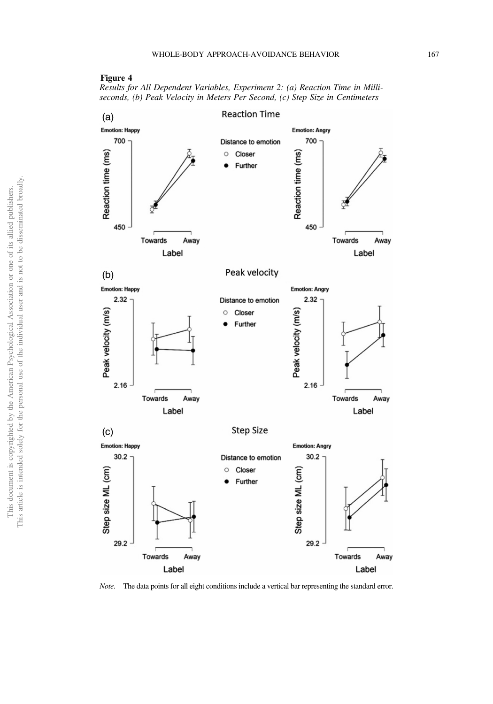### <span id="page-11-0"></span>Figure 4

Results for All Dependent Variables, Experiment 2: (a) Reaction Time in Milliseconds, (b) Peak Velocity in Meters Per Second, (c) Step Size in Centimeters



Note. The data points for all eight conditions include a vertical bar representing the standard error.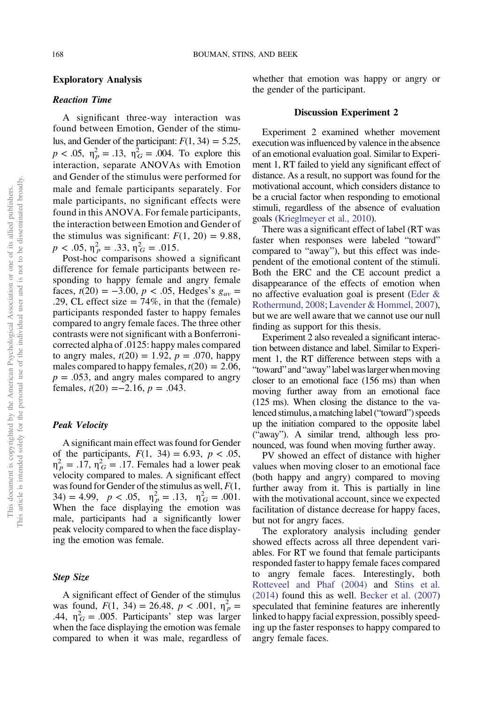# Exploratory Analysis

### Reaction Time

A significant three-way interaction was found between Emotion, Gender of the stimulus, and Gender of the participant:  $F(1, 34) = 5.25$ ,  $p < .05$ ,  $\eta_p^2 = .13$ ,  $\eta_G^2 = .004$ . To explore this interaction, separate ANOVAs with Emotion and Gender of the stimulus were performed for male and female participants separately. For male participants, no significant effects were found in this ANOVA. For female participants, the interaction between Emotion and Gender of the stimulus was significant:  $F(1, 20) = 9.88$ ,  $p < .05$ ,  $\eta_p^2 = .33$ ,  $\eta_G^2 = .015$ .

Post-hoc comparisons showed a significant difference for female participants between responding to happy female and angry female faces,  $t(20) = -3.00$ ,  $p < .05$ , Hedges's  $g_{av} =$ .29, CL effect size  $= 74\%$ , in that the (female) participants responded faster to happy females compared to angry female faces. The three other contrasts were not significant with a Bonferronicorrected alpha of .0125: happy males compared to angry males,  $t(20) = 1.92$ ,  $p = .070$ , happy males compared to happy females,  $t(20) = 2.06$ ,  $p = .053$ , and angry males compared to angry females,  $t(20) = -2.16$ ,  $p = .043$ .

### Peak Velocity

A significant main effect was found for Gender of the participants,  $F(1, 34) = 6.93$ ,  $p < .05$ ,  $\eta_p^2 = .17$ ,  $\eta_G^2 = .17$ . Females had a lower peak velocity compared to males. A significant effect was found for Gender of the stimulus as well,  $F(1, 1)$ 34) = 4.99,  $p < .05$ ,  $\eta_p^2 = .13$ ,  $\eta_G^2 = .001$ . When the face displaying the emotion was male, participants had a significantly lower peak velocity compared to when the face displaying the emotion was female.

# Step Size

A significant effect of Gender of the stimulus was found,  $F(1, 34) = 26.48$ ,  $p < .001$ ,  $\eta_p^2 =$ .44,  $\eta_G^2 = .005$ . Participants' step was larger when the face displaying the emotion was female compared to when it was male, regardless of whether that emotion was happy or angry or the gender of the participant.

### Discussion Experiment 2

Experiment 2 examined whether movement execution was influenced by valence in the absence of an emotional evaluation goal. Similar to Experiment 1, RT failed to yield any significant effect of distance. As a result, no support was found for the motivational account, which considers distance to be a crucial factor when responding to emotional stimuli, regardless of the absence of evaluation goals [\(Krieglmeyer et al., 2010](#page-15-0)).

There was a significant effect of label (RT was faster when responses were labeled "toward" compared to "away"), but this effect was independent of the emotional content of the stimuli. Both the ERC and the CE account predict a disappearance of the effects of emotion when no affective evaluation goal is present [\(Eder &](#page-15-0) [Rothermund, 2008](#page-15-0); [Lavender & Hommel, 2007](#page-15-0)), but we are well aware that we cannot use our null finding as support for this thesis.

Experiment 2 also revealed a significant interaction between distance and label. Similar to Experiment 1, the RT difference between steps with a "toward" and "away" label was larger when moving closer to an emotional face (156 ms) than when moving further away from an emotional face (125 ms). When closing the distance to the valenced stimulus, a matching label ("toward") speeds up the initiation compared to the opposite label ("away"). A similar trend, although less pronounced, was found when moving further away.

PV showed an effect of distance with higher values when moving closer to an emotional face (both happy and angry) compared to moving further away from it. This is partially in line with the motivational account, since we expected facilitation of distance decrease for happy faces, but not for angry faces.

The exploratory analysis including gender showed effects across all three dependent variables. For RT we found that female participants responded faster to happy female faces compared to angry female faces. Interestingly, both [Rotteveel and Phaf \(2004\)](#page-15-0) and [Stins et al.](#page-16-0) [\(2014](#page-16-0)) found this as well. [Becker et al. \(2007\)](#page-15-0) speculated that feminine features are inherently linked to happy facial expression, possibly speeding up the faster responses to happy compared to angry female faces.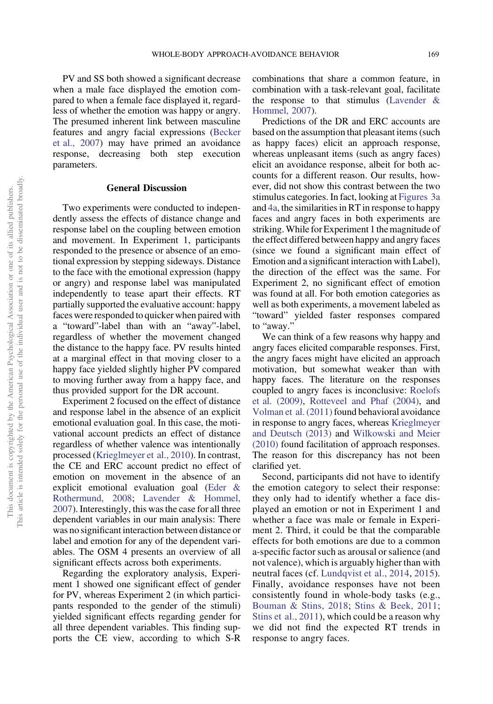PV and SS both showed a significant decrease when a male face displayed the emotion compared to when a female face displayed it, regardless of whether the emotion was happy or angry. The presumed inherent link between masculine features and angry facial expressions ([Becker](#page-15-0) [et al., 2007\)](#page-15-0) may have primed an avoidance response, decreasing both step execution parameters.

#### General Discussion

Two experiments were conducted to independently assess the effects of distance change and response label on the coupling between emotion and movement. In Experiment 1, participants responded to the presence or absence of an emotional expression by stepping sideways. Distance to the face with the emotional expression (happy or angry) and response label was manipulated independently to tease apart their effects. RT partially supported the evaluative account: happy faces were responded to quicker when paired with a "toward"-label than with an "away"-label, regardless of whether the movement changed the distance to the happy face. PV results hinted at a marginal effect in that moving closer to a happy face yielded slightly higher PV compared to moving further away from a happy face, and thus provided support for the DR account.

Experiment 2 focused on the effect of distance and response label in the absence of an explicit emotional evaluation goal. In this case, the motivational account predicts an effect of distance regardless of whether valence was intentionally processed [\(Krieglmeyer et al., 2010](#page-15-0)). In contrast, the CE and ERC account predict no effect of emotion on movement in the absence of an explicit emotional evaluation goal ([Eder &](#page-15-0) [Rothermund, 2008;](#page-15-0) [Lavender & Hommel,](#page-15-0) [2007](#page-15-0)). Interestingly, this was the case for all three dependent variables in our main analysis: There was no significant interaction between distance or label and emotion for any of the dependent variables. The OSM 4 presents an overview of all significant effects across both experiments.

Regarding the exploratory analysis, Experiment 1 showed one significant effect of gender for PV, whereas Experiment 2 (in which participants responded to the gender of the stimuli) yielded significant effects regarding gender for all three dependent variables. This finding supports the CE view, according to which S-R combinations that share a common feature, in combination with a task-relevant goal, facilitate the response to that stimulus [\(Lavender &](#page-15-0) [Hommel, 2007](#page-15-0)).

Predictions of the DR and ERC accounts are based on the assumption that pleasant items (such as happy faces) elicit an approach response, whereas unpleasant items (such as angry faces) elicit an avoidance response, albeit for both accounts for a different reason. Our results, however, did not show this contrast between the two stimulus categories. In fact, looking at [Figures 3a](#page-8-0) and [4a](#page-11-0), the similarities in RT in response to happy faces and angry faces in both experiments are striking.While for Experiment 1 the magnitude of the effect differed between happy and angry faces (since we found a significant main effect of Emotion and a significant interaction with Label), the direction of the effect was the same. For Experiment 2, no significant effect of emotion was found at all. For both emotion categories as well as both experiments, a movement labeled as "toward" yielded faster responses compared to "away."

We can think of a few reasons why happy and angry faces elicited comparable responses. First, the angry faces might have elicited an approach motivation, but somewhat weaker than with happy faces. The literature on the responses coupled to angry faces is inconclusive: [Roelofs](#page-15-0) [et al. \(2009\)](#page-15-0), [Rotteveel and Phaf \(2004\)](#page-15-0), and [Volman et al. \(2011\)](#page-16-0) found behavioral avoidance in response to angry faces, whereas [Krieglmeyer](#page-15-0) [and Deutsch \(2013\)](#page-15-0) and [Wilkowski and Meier](#page-16-0) [\(2010\)](#page-16-0) found facilitation of approach responses. The reason for this discrepancy has not been clarified yet.

Second, participants did not have to identify the emotion category to select their response: they only had to identify whether a face displayed an emotion or not in Experiment 1 and whether a face was male or female in Experiment 2. Third, it could be that the comparable effects for both emotions are due to a common a-specific factor such as arousal or salience (and not valence), which is arguably higher than with neutral faces (cf. [Lundqvist et al., 2014,](#page-15-0) [2015](#page-15-0)). Finally, avoidance responses have not been consistently found in whole-body tasks (e.g., [Bouman & Stins, 2018](#page-15-0); [Stins & Beek, 2011](#page-15-0); [Stins et al., 2011](#page-16-0)), which could be a reason why we did not find the expected RT trends in response to angry faces.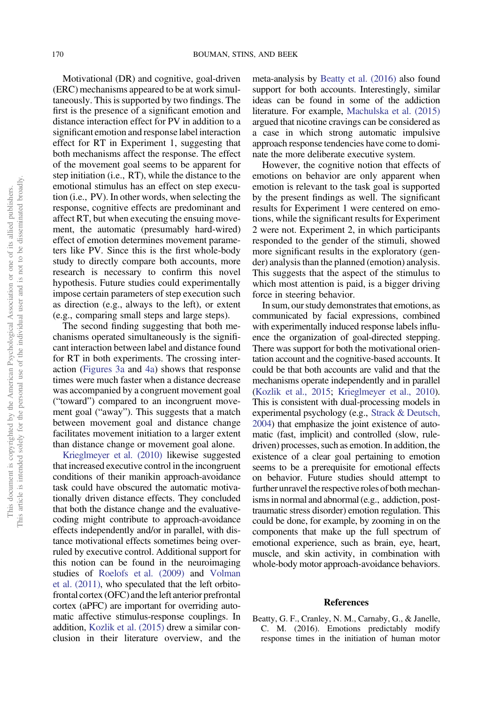<span id="page-14-0"></span>Motivational (DR) and cognitive, goal-driven (ERC) mechanisms appeared to be at work simultaneously. This is supported by two findings. The first is the presence of a significant emotion and distance interaction effect for PV in addition to a significant emotion and response label interaction effect for RT in Experiment 1, suggesting that both mechanisms affect the response. The effect of the movement goal seems to be apparent for step initiation (i.e., RT), while the distance to the emotional stimulus has an effect on step execution (i.e., PV). In other words, when selecting the response, cognitive effects are predominant and affect RT, but when executing the ensuing movement, the automatic (presumably hard-wired) effect of emotion determines movement parameters like PV. Since this is the first whole-body study to directly compare both accounts, more research is necessary to confirm this novel hypothesis. Future studies could experimentally impose certain parameters of step execution such as direction (e.g., always to the left), or extent (e.g., comparing small steps and large steps).

The second finding suggesting that both mechanisms operated simultaneously is the significant interaction between label and distance found for RT in both experiments. The crossing interaction ([Figures 3a](#page-8-0) and [4a](#page-11-0)) shows that response times were much faster when a distance decrease was accompanied by a congruent movement goal ("toward") compared to an incongruent movement goal ("away"). This suggests that a match between movement goal and distance change facilitates movement initiation to a larger extent than distance change or movement goal alone.

[Krieglmeyer et al. \(2010\)](#page-15-0) likewise suggested that increased executive control in the incongruent conditions of their manikin approach-avoidance task could have obscured the automatic motivationally driven distance effects. They concluded that both the distance change and the evaluativecoding might contribute to approach-avoidance effects independently and/or in parallel, with distance motivational effects sometimes being overruled by executive control. Additional support for this notion can be found in the neuroimaging studies of [Roelofs et al. \(2009\)](#page-15-0) and [Volman](#page-16-0) [et al. \(2011\)](#page-16-0), who speculated that the left orbitofrontal cortex (OFC) and the left anterior prefrontal cortex (aPFC) are important for overriding automatic affective stimulus-response couplings. In addition, [Kozlik et al. \(2015\)](#page-15-0) drew a similar conclusion in their literature overview, and the

meta-analysis by Beatty et al. (2016) also found support for both accounts. Interestingly, similar ideas can be found in some of the addiction literature. For example, [Machulska et al. \(2015\)](#page-15-0) argued that nicotine cravings can be considered as a case in which strong automatic impulsive approach response tendencies have come to dominate the more deliberate executive system.

However, the cognitive notion that effects of emotions on behavior are only apparent when emotion is relevant to the task goal is supported by the present findings as well. The significant results for Experiment 1 were centered on emotions, while the significant results for Experiment 2 were not. Experiment 2, in which participants responded to the gender of the stimuli, showed more significant results in the exploratory (gender) analysis than the planned (emotion) analysis. This suggests that the aspect of the stimulus to which most attention is paid, is a bigger driving force in steering behavior.

In sum, our study demonstrates that emotions, as communicated by facial expressions, combined with experimentally induced response labels influence the organization of goal-directed stepping. There was support for both the motivational orientation account and the cognitive-based accounts. It could be that both accounts are valid and that the mechanisms operate independently and in parallel [\(Kozlik et al., 2015;](#page-15-0) [Krieglmeyer et al., 2010](#page-15-0)). This is consistent with dual-processing models in experimental psychology (e.g., [Strack & Deutsch,](#page-16-0) [2004](#page-16-0)) that emphasize the joint existence of automatic (fast, implicit) and controlled (slow, ruledriven) processes, such as emotion. In addition, the existence of a clear goal pertaining to emotion seems to be a prerequisite for emotional effects on behavior. Future studies should attempt to further unravel the respective roles of both mechanisms in normal and abnormal (e.g., addiction, posttraumatic stress disorder) emotion regulation. This could be done, for example, by zooming in on the components that make up the full spectrum of emotional experience, such as brain, eye, heart, muscle, and skin activity, in combination with whole-body motor approach-avoidance behaviors.

#### References

Beatty, G. F., Cranley, N. M., Carnaby, G., & Janelle, C. M. (2016). Emotions predictably modify response times in the initiation of human motor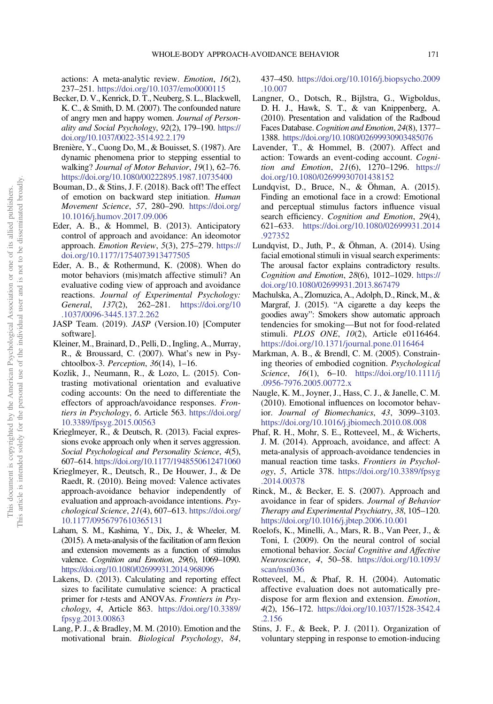<span id="page-15-0"></span>actions: A meta-analytic review. Emotion, 16(2), 237–251. <https://doi.org/10.1037/emo0000115>

- Becker, D. V., Kenrick, D. T., Neuberg, S. L., Blackwell, K. C., & Smith, D. M. (2007). The confounded nature of angry men and happy women. Journal of Personality and Social Psychology, 92(2), 179–190. [https://](https://doi.org/10.1037/0022-3514.92.2.179) [doi.org/10.1037/0022-3514.92.2.179](https://doi.org/10.1037/0022-3514.92.2.179)
- Brenière, Y., Cuong Do, M., & Bouisset, S. (1987). Are dynamic phenomena prior to stepping essential to walking? Journal of Motor Behavior, 19(1), 62–76. <https://doi.org/10.1080/00222895.1987.10735400>
- Bouman, D., & Stins, J. F. (2018). Back off! The effect of emotion on backward step initiation. Human Movement Science, 57, 280–290. [https://doi.org/](https://doi.org/10.1016/j.humov.2017.09.006) [10.1016/j.humov.2017.09.006](https://doi.org/10.1016/j.humov.2017.09.006)
- Eder, A. B., & Hommel, B. (2013). Anticipatory control of approach and avoidance: An ideomotor approach. Emotion Review, 5(3), 275–279. [https://](https://doi.org/10.1177/1754073913477505) [doi.org/10.1177/1754073913477505](https://doi.org/10.1177/1754073913477505)
- Eder, A. B., & Rothermund, K. (2008). When do motor behaviors (mis)match affective stimuli? An evaluative coding view of approach and avoidance reactions. Journal of Experimental Psychology: General, 137(2), 262–281. [https://doi.org/10](https://doi.org/10.1037/0096-3445.137.2.262) [.1037/0096-3445.137.2.262](https://doi.org/10.1037/0096-3445.137.2.262)
- JASP Team. (2019). JASP (Version.10) [Computer software].
- Kleiner, M., Brainard, D., Pelli, D., Ingling, A., Murray, R., & Broussard, C. (2007). What's new in Psychtoolbox-3. Perception, 36(14), 1–16.
- Kozlik, J., Neumann, R., & Lozo, L. (2015). Contrasting motivational orientation and evaluative coding accounts: On the need to differentiate the effectors of approach/avoidance responses. Frontiers in Psychology, 6. Article 563. [https://doi.org/](https://doi.org/10.3389/fpsyg.2015.00563) [10.3389/fpsyg.2015.00563](https://doi.org/10.3389/fpsyg.2015.00563)
- Krieglmeyer, R., & Deutsch, R. (2013). Facial expressions evoke approach only when it serves aggression. Social Psychological and Personality Science, 4(5), 607–614. <https://doi.org/10.1177/1948550612471060>
- Krieglmeyer, R., Deutsch, R., De Houwer, J., & De Raedt, R. (2010). Being moved: Valence activates approach-avoidance behavior independently of evaluation and approach-avoidance intentions. Psychological Science, 21(4), 607–613. [https://doi.org/](https://doi.org/10.1177/0956797610365131) [10.1177/0956797610365131](https://doi.org/10.1177/0956797610365131)
- Laham, S. M., Kashima, Y., Dix, J., & Wheeler, M. (2015). A meta-analysis of the facilitation of arm flexion and extension movements as a function of stimulus valence. Cognition and Emotion, 29(6), 1069–1090. <https://doi.org/10.1080/02699931.2014.968096>
- Lakens, D. (2013). Calculating and reporting effect sizes to facilitate cumulative science: A practical primer for *t*-tests and ANOVAs. Frontiers in Psychology, 4, Article 863. [https://doi.org/10.3389/](https://doi.org/10.3389/fpsyg.2013.00863) [fpsyg.2013.00863](https://doi.org/10.3389/fpsyg.2013.00863)
- Lang, P. J., & Bradley, M. M. (2010). Emotion and the motivational brain. Biological Psychology, 84,

437–450. [https://doi.org/10.1016/j.biopsycho.2009](https://doi.org/10.1016/j.biopsycho.2009.10.007) [.10.007](https://doi.org/10.1016/j.biopsycho.2009.10.007)

- Langner, O., Dotsch, R., Bijlstra, G., Wigboldus, D. H. J., Hawk, S. T., & van Knippenberg, A. (2010). Presentation and validation of the Radboud Faces Database. Cognition and Emotion, 24(8), 1377– 1388. <https://doi.org/10.1080/02699930903485076>
- Lavender, T., & Hommel, B. (2007). Affect and action: Towards an event-coding account. Cognition and Emotion, 21(6), 1270–1296. [https://](https://doi.org/10.1080/02699930701438152) [doi.org/10.1080/02699930701438152](https://doi.org/10.1080/02699930701438152)
- Lundqvist, D., Bruce, N., & Öhman, A. (2015). Finding an emotional face in a crowd: Emotional and perceptual stimulus factors influence visual search efficiency. Cognition and Emotion, 29(4), 621–633. [https://doi.org/10.1080/02699931.2014](https://doi.org/10.1080/02699931.2014.927352) [.927352](https://doi.org/10.1080/02699931.2014.927352)
- Lundqvist, D., Juth, P., & Öhman, A. (2014). Using facial emotional stimuli in visual search experiments: The arousal factor explains contradictory results. Cognition and Emotion, 28(6), 1012–1029. [https://](https://doi.org/10.1080/02699931.2013.867479) [doi.org/10.1080/02699931.2013.867479](https://doi.org/10.1080/02699931.2013.867479)
- Machulska, A., Zlomuzica, A., Adolph, D., Rinck, M., & Margraf, J. (2015). "A cigarette a day keeps the goodies away": Smokers show automatic approach tendencies for smoking—But not for food-related stimuli. PLOS ONE, 10(2), Article e0116464. <https://doi.org/10.1371/journal.pone.0116464>
- Markman, A. B., & Brendl, C. M. (2005). Constraining theories of embodied cognition. Psychological Science, 16(1), 6-10. [https://doi.org/10.1111/j](https://doi.org/10.1111/j.0956-7976.2005.00772.x) [.0956-7976.2005.00772.x](https://doi.org/10.1111/j.0956-7976.2005.00772.x)
- Naugle, K. M., Joyner, J., Hass, C. J., & Janelle, C. M. (2010). Emotional influences on locomotor behavior. Journal of Biomechanics, 43, 3099–3103. <https://doi.org/10.1016/j.jbiomech.2010.08.008>
- Phaf, R. H., Mohr, S. E., Rotteveel, M., & Wicherts, J. M. (2014). Approach, avoidance, and affect: A meta-analysis of approach-avoidance tendencies in manual reaction time tasks. Frontiers in Psychology, 5, Article 378. [https://doi.org/10.3389/fpsyg](https://doi.org/10.3389/fpsyg.2014.00378) [.2014.00378](https://doi.org/10.3389/fpsyg.2014.00378)
- Rinck, M., & Becker, E. S. (2007). Approach and avoidance in fear of spiders. Journal of Behavior Therapy and Experimental Psychiatry, 38, 105–120. <https://doi.org/10.1016/j.jbtep.2006.10.001>
- Roelofs, K., Minelli, A., Mars, R. B., Van Peer, J., & Toni, I. (2009). On the neural control of social emotional behavior. Social Cognitive and Affective Neuroscience, 4, 50–58. [https://doi.org/10.1093/](https://doi.org/10.1093/scan/nsn036) [scan/nsn036](https://doi.org/10.1093/scan/nsn036)
- Rotteveel, M., & Phaf, R. H. (2004). Automatic affective evaluation does not automatically predispose for arm flexion and extension. Emotion, 4(2), 156–172. [https://doi.org/10.1037/1528-3542.4](https://doi.org/10.1037/1528-3542.4.2.156) [.2.156](https://doi.org/10.1037/1528-3542.4.2.156)
- Stins, J. F., & Beek, P. J. (2011). Organization of voluntary stepping in response to emotion-inducing